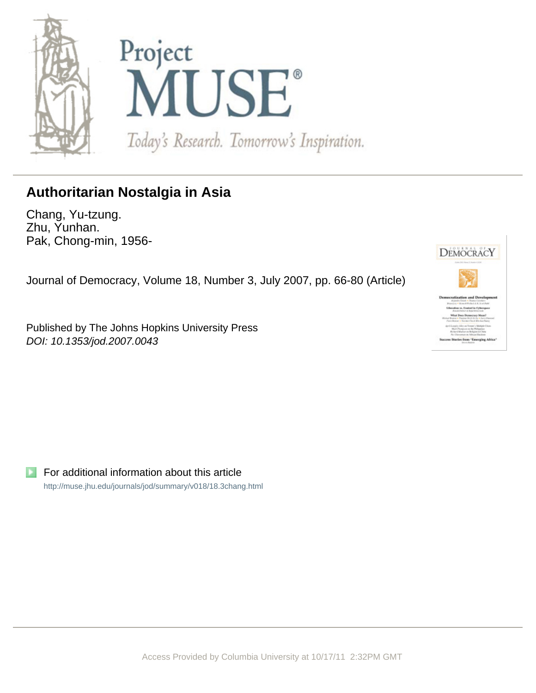



# **Authoritarian Nostalgia in Asia**

Chang, Yu-tzung. Zhu, Yunhan. Pak, Chong-min, 1956-

Journal of Democracy, Volume 18, Number 3, July 2007, pp. 66-80 (Article)

Published by The Johns Hopkins University Press DOI: 10.1353/jod.2007.0043



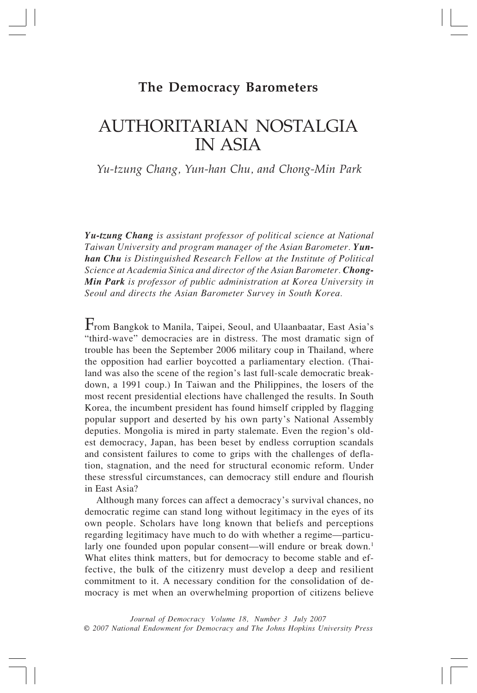## **The Democracy Barometers**

## AUTHORITARIAN NOSTALGIA IN ASIA

### *Yu-tzung Chang, Yun-han Chu, and Chong-Min Park*

*Yu-tzung Chang is assistant professor of political science at National Taiwan University and program manager of the Asian Barometer. Yunhan Chu is Distinguished Research Fellow at the Institute of Political Science at Academia Sinica and director of the Asian Barometer. Chong-Min Park is professor of public administration at Korea University in Seoul and directs the Asian Barometer Survey in South Korea.*

From Bangkok to Manila, Taipei, Seoul, and Ulaanbaatar, East Asia's "third-wave" democracies are in distress. The most dramatic sign of trouble has been the September 2006 military coup in Thailand, where the opposition had earlier boycotted a parliamentary election. (Thailand was also the scene of the region's last full-scale democratic breakdown, a 1991 coup.) In Taiwan and the Philippines, the losers of the most recent presidential elections have challenged the results. In South Korea, the incumbent president has found himself crippled by flagging popular support and deserted by his own party's National Assembly deputies. Mongolia is mired in party stalemate. Even the region's oldest democracy, Japan, has been beset by endless corruption scandals and consistent failures to come to grips with the challenges of deflation, stagnation, and the need for structural economic reform. Under these stressful circumstances, can democracy still endure and flourish in East Asia?

Although many forces can affect a democracy's survival chances, no democratic regime can stand long without legitimacy in the eyes of its own people. Scholars have long known that beliefs and perceptions regarding legitimacy have much to do with whether a regime—particularly one founded upon popular consent—will endure or break down.<sup>1</sup> What elites think matters, but for democracy to become stable and effective, the bulk of the citizenry must develop a deep and resilient commitment to it. A necessary condition for the consolidation of democracy is met when an overwhelming proportion of citizens believe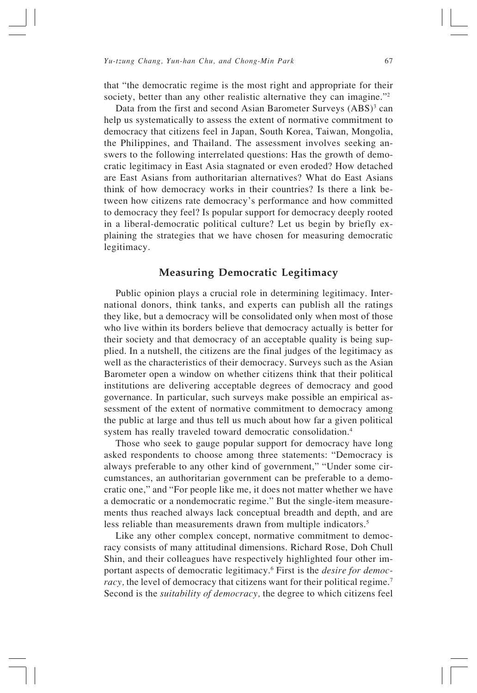that "the democratic regime is the most right and appropriate for their society, better than any other realistic alternative they can imagine."<sup>2</sup>

Data from the first and second Asian Barometer Surveys (ABS)<sup>3</sup> can help us systematically to assess the extent of normative commitment to democracy that citizens feel in Japan, South Korea, Taiwan, Mongolia, the Philippines, and Thailand. The assessment involves seeking answers to the following interrelated questions: Has the growth of democratic legitimacy in East Asia stagnated or even eroded? How detached are East Asians from authoritarian alternatives? What do East Asians think of how democracy works in their countries? Is there a link between how citizens rate democracy's performance and how committed to democracy they feel? Is popular support for democracy deeply rooted in a liberal-democratic political culture? Let us begin by briefly explaining the strategies that we have chosen for measuring democratic legitimacy.

### **Measuring Democratic Legitimacy**

Public opinion plays a crucial role in determining legitimacy. International donors, think tanks, and experts can publish all the ratings they like, but a democracy will be consolidated only when most of those who live within its borders believe that democracy actually is better for their society and that democracy of an acceptable quality is being supplied. In a nutshell, the citizens are the final judges of the legitimacy as well as the characteristics of their democracy. Surveys such as the Asian Barometer open a window on whether citizens think that their political institutions are delivering acceptable degrees of democracy and good governance. In particular, such surveys make possible an empirical assessment of the extent of normative commitment to democracy among the public at large and thus tell us much about how far a given political system has really traveled toward democratic consolidation.4

Those who seek to gauge popular support for democracy have long asked respondents to choose among three statements: "Democracy is always preferable to any other kind of government," "Under some circumstances, an authoritarian government can be preferable to a democratic one," and "For people like me, it does not matter whether we have a democratic or a nondemocratic regime." But the single-item measurements thus reached always lack conceptual breadth and depth, and are less reliable than measurements drawn from multiple indicators.<sup>5</sup>

Like any other complex concept, normative commitment to democracy consists of many attitudinal dimensions. Richard Rose, Doh Chull Shin, and their colleagues have respectively highlighted four other important aspects of democratic legitimacy.6 First is the *desire for democracy*, the level of democracy that citizens want for their political regime.<sup>7</sup> Second is the *suitability of democracy,* the degree to which citizens feel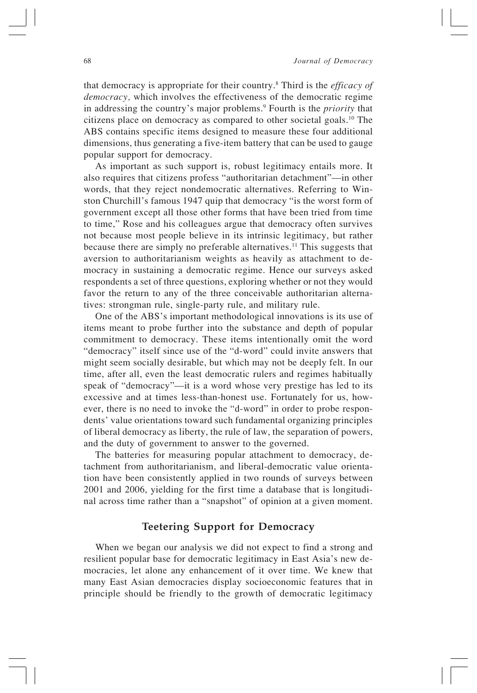that democracy is appropriate for their country.8 Third is the *efficacy of democracy,* which involves the effectiveness of the democratic regime in addressing the country's major problems.9 Fourth is the *priority* that citizens place on democracy as compared to other societal goals.10 The ABS contains specific items designed to measure these four additional dimensions, thus generating a five-item battery that can be used to gauge popular support for democracy.

As important as such support is, robust legitimacy entails more. It also requires that citizens profess "authoritarian detachment"—in other words, that they reject nondemocratic alternatives. Referring to Winston Churchill's famous 1947 quip that democracy "is the worst form of government except all those other forms that have been tried from time to time," Rose and his colleagues argue that democracy often survives not because most people believe in its intrinsic legitimacy, but rather because there are simply no preferable alternatives.<sup>11</sup> This suggests that aversion to authoritarianism weights as heavily as attachment to democracy in sustaining a democratic regime. Hence our surveys asked respondents a set of three questions, exploring whether or not they would favor the return to any of the three conceivable authoritarian alternatives: strongman rule, single-party rule, and military rule.

One of the ABS's important methodological innovations is its use of items meant to probe further into the substance and depth of popular commitment to democracy. These items intentionally omit the word "democracy" itself since use of the "d-word" could invite answers that might seem socially desirable, but which may not be deeply felt. In our time, after all, even the least democratic rulers and regimes habitually speak of "democracy"—it is a word whose very prestige has led to its excessive and at times less-than-honest use. Fortunately for us, however, there is no need to invoke the "d-word" in order to probe respondents' value orientations toward such fundamental organizing principles of liberal democracy as liberty, the rule of law, the separation of powers, and the duty of government to answer to the governed.

The batteries for measuring popular attachment to democracy, detachment from authoritarianism, and liberal-democratic value orientation have been consistently applied in two rounds of surveys between 2001 and 2006, yielding for the first time a database that is longitudinal across time rather than a "snapshot" of opinion at a given moment.

#### **Teetering Support for Democracy**

When we began our analysis we did not expect to find a strong and resilient popular base for democratic legitimacy in East Asia's new democracies, let alone any enhancement of it over time. We knew that many East Asian democracies display socioeconomic features that in principle should be friendly to the growth of democratic legitimacy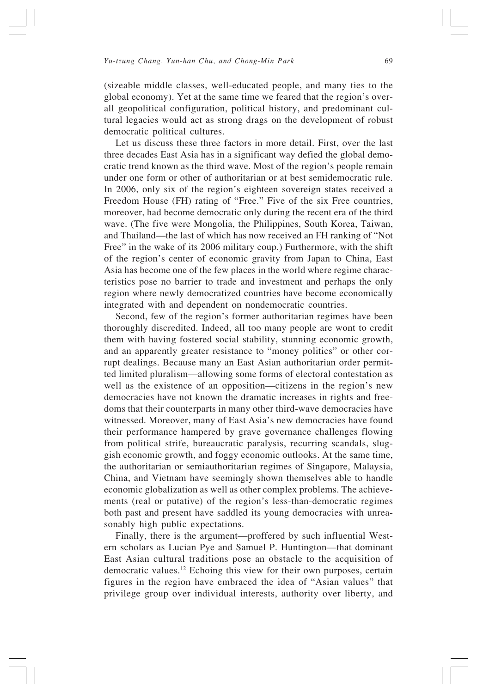(sizeable middle classes, well-educated people, and many ties to the global economy). Yet at the same time we feared that the region's overall geopolitical configuration, political history, and predominant cultural legacies would act as strong drags on the development of robust democratic political cultures.

Let us discuss these three factors in more detail. First, over the last three decades East Asia has in a significant way defied the global democratic trend known as the third wave. Most of the region's people remain under one form or other of authoritarian or at best semidemocratic rule. In 2006, only six of the region's eighteen sovereign states received a Freedom House (FH) rating of "Free." Five of the six Free countries, moreover, had become democratic only during the recent era of the third wave. (The five were Mongolia, the Philippines, South Korea, Taiwan, and Thailand—the last of which has now received an FH ranking of "Not Free" in the wake of its 2006 military coup.) Furthermore, with the shift of the region's center of economic gravity from Japan to China, East Asia has become one of the few places in the world where regime characteristics pose no barrier to trade and investment and perhaps the only region where newly democratized countries have become economically integrated with and dependent on nondemocratic countries.

Second, few of the region's former authoritarian regimes have been thoroughly discredited. Indeed, all too many people are wont to credit them with having fostered social stability, stunning economic growth, and an apparently greater resistance to "money politics" or other corrupt dealings. Because many an East Asian authoritarian order permitted limited pluralism—allowing some forms of electoral contestation as well as the existence of an opposition—citizens in the region's new democracies have not known the dramatic increases in rights and freedoms that their counterparts in many other third-wave democracies have witnessed. Moreover, many of East Asia's new democracies have found their performance hampered by grave governance challenges flowing from political strife, bureaucratic paralysis, recurring scandals, sluggish economic growth, and foggy economic outlooks. At the same time, the authoritarian or semiauthoritarian regimes of Singapore, Malaysia, China, and Vietnam have seemingly shown themselves able to handle economic globalization as well as other complex problems. The achievements (real or putative) of the region's less-than-democratic regimes both past and present have saddled its young democracies with unreasonably high public expectations.

Finally, there is the argument—proffered by such influential Western scholars as Lucian Pye and Samuel P. Huntington—that dominant East Asian cultural traditions pose an obstacle to the acquisition of democratic values.<sup>12</sup> Echoing this view for their own purposes, certain figures in the region have embraced the idea of "Asian values" that privilege group over individual interests, authority over liberty, and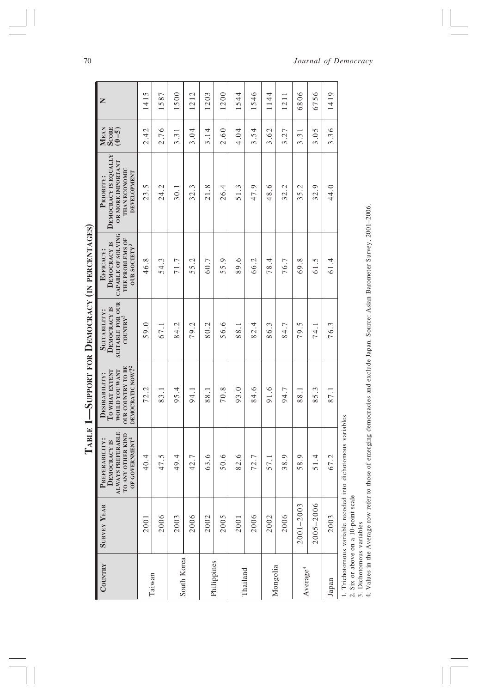|                          |                                     |                                                                                                                                                                                                  | TABLE 1—SUPPORT FOR DEMOCRACY (IN PERCENTAGES)                                                |                                                                                 |                                                                                                       |                                                                                               |                                    |      |
|--------------------------|-------------------------------------|--------------------------------------------------------------------------------------------------------------------------------------------------------------------------------------------------|-----------------------------------------------------------------------------------------------|---------------------------------------------------------------------------------|-------------------------------------------------------------------------------------------------------|-----------------------------------------------------------------------------------------------|------------------------------------|------|
| COUNTRY                  | <b>SURVEY YEAR</b>                  | <b>ALWAYS PREFERABLE</b><br>TO ANY OTHER KIND<br>OF GOVERNMENT <sup>1</sup><br>PREFERABILITY:<br>DEMOCRACY IS                                                                                    | OUR COUNTRY TO BE DEMOCRATIC NOW $\!2^2$<br>TO WHAT EXTENT<br>WOULD YOU WANT<br>DESIRABILITY: | <b>SUITABLE FOR OUR</b><br>DEMOCRACY IS<br>SUITABILITY:<br>COUNTRY <sup>2</sup> | CAPABLE OF SOLVING<br>THE PROBLEMS OF<br><b>DEMOCRACY IS</b><br>OUR SOCIETY <sup>3</sup><br>EFFICACY: | DEMOCRACY IS EQUALLY<br>OR MORE IMPORTANT<br>THAN ECONOMIC<br><b>DEVELOPMENT</b><br>PRIORITY: | $rac{\text{SCORE}}{(0-5)}$<br>MEAN | Z    |
| Taiwan                   | 2001                                | 40.4                                                                                                                                                                                             | 72.2                                                                                          | 59.0                                                                            | 46.8                                                                                                  | 23.5                                                                                          | 2.42                               | 1415 |
|                          | <b>2006</b>                         | 47.5                                                                                                                                                                                             | 83.1                                                                                          | 67.1                                                                            | 54.3                                                                                                  | 24.2                                                                                          | 2.76                               | 1587 |
| South Korea              | 2003                                | 49.4                                                                                                                                                                                             | 95.4                                                                                          | 84.2                                                                            | 71.7                                                                                                  | 30.1                                                                                          | 3.31                               | 1500 |
|                          | 2006                                | 42.7                                                                                                                                                                                             | 94.1                                                                                          | 79.2                                                                            | 55.2                                                                                                  | 32.3                                                                                          | 3.04                               | 1212 |
| Philippines              | 2002                                | 63.6                                                                                                                                                                                             | 88.1                                                                                          | 80.2                                                                            | 60.7                                                                                                  | 21.8                                                                                          | 3.14                               | 1203 |
|                          | 2005                                | 50.6                                                                                                                                                                                             | 70.8                                                                                          | 56.6                                                                            | 55.9                                                                                                  | 26.4                                                                                          | 2.60                               | 1200 |
| Thailand                 | 2001                                | 82.6                                                                                                                                                                                             | 93.0                                                                                          | 88.1                                                                            | 89.6                                                                                                  | 51.3                                                                                          | 4.04                               | 1544 |
|                          | 2006                                | 72.7                                                                                                                                                                                             | 84.6                                                                                          | 82.4                                                                            | 66.2                                                                                                  | 47.9                                                                                          | 3.54                               | 1546 |
| Mongolia                 | 2002                                | 57.1                                                                                                                                                                                             | 91.6                                                                                          | 86.3                                                                            | 78.4                                                                                                  | 48.6                                                                                          | 3.62                               | 1144 |
|                          | 2006                                | 38.9                                                                                                                                                                                             | 94.7                                                                                          | 84.7                                                                            | 76.7                                                                                                  | 32.2                                                                                          | 3.27                               | 1211 |
| Average <sup>4</sup>     | $2001 - 2003$                       | 58.9                                                                                                                                                                                             | 88.1                                                                                          | 79.5                                                                            | 69.8                                                                                                  | 35.2                                                                                          | 3.31                               | 6806 |
|                          | $2005 - 2006$                       | 51.4                                                                                                                                                                                             | 85.3                                                                                          | 74.1                                                                            | 61.5                                                                                                  | 32.9                                                                                          | 3.05                               | 6756 |
| Japan                    | 2003                                | 67.2                                                                                                                                                                                             | 87.1                                                                                          | 76.3                                                                            | 61.4                                                                                                  | 44.0                                                                                          | 3.36                               | 1419 |
| 3. Dichotomous variables | 2. Six or above on a 10-point scale | 4. Values in the Average row refer to those of emerging democracies and exclude Japan. Source: Asian Barometer Survey, 2001-2006.<br>1. Trichotomous variable recoded into dichotomous variables |                                                                                               |                                                                                 |                                                                                                       |                                                                                               |                                    |      |

#### 70 *Journal of Democracy*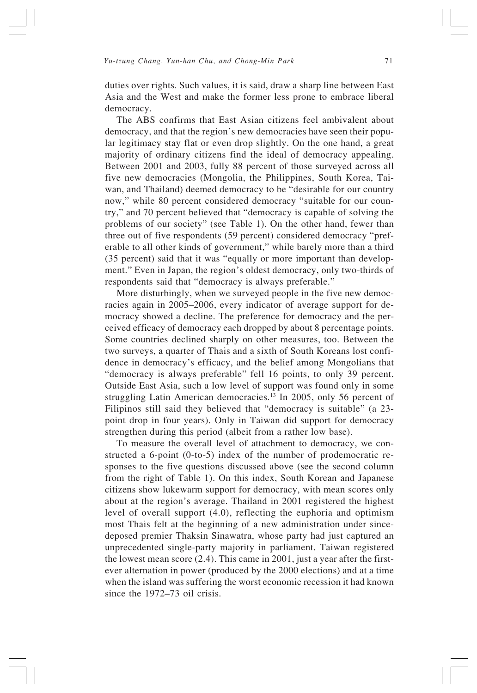duties over rights. Such values, it is said, draw a sharp line between East Asia and the West and make the former less prone to embrace liberal democracy.

The ABS confirms that East Asian citizens feel ambivalent about democracy, and that the region's new democracies have seen their popular legitimacy stay flat or even drop slightly. On the one hand, a great majority of ordinary citizens find the ideal of democracy appealing. Between 2001 and 2003, fully 88 percent of those surveyed across all five new democracies (Mongolia, the Philippines, South Korea, Taiwan, and Thailand) deemed democracy to be "desirable for our country now," while 80 percent considered democracy "suitable for our country," and 70 percent believed that "democracy is capable of solving the problems of our society" (see Table 1). On the other hand, fewer than three out of five respondents (59 percent) considered democracy "preferable to all other kinds of government," while barely more than a third (35 percent) said that it was "equally or more important than development." Even in Japan, the region's oldest democracy, only two-thirds of respondents said that "democracy is always preferable."

More disturbingly, when we surveyed people in the five new democracies again in 2005–2006, every indicator of average support for democracy showed a decline. The preference for democracy and the perceived efficacy of democracy each dropped by about 8 percentage points. Some countries declined sharply on other measures, too. Between the two surveys, a quarter of Thais and a sixth of South Koreans lost confidence in democracy's efficacy, and the belief among Mongolians that "democracy is always preferable" fell 16 points, to only 39 percent. Outside East Asia, such a low level of support was found only in some struggling Latin American democracies.13 In 2005, only 56 percent of Filipinos still said they believed that "democracy is suitable" (a 23 point drop in four years). Only in Taiwan did support for democracy strengthen during this period (albeit from a rather low base).

To measure the overall level of attachment to democracy, we constructed a 6-point (0-to-5) index of the number of prodemocratic responses to the five questions discussed above (see the second column from the right of Table 1). On this index, South Korean and Japanese citizens show lukewarm support for democracy, with mean scores only about at the region's average. Thailand in 2001 registered the highest level of overall support (4.0), reflecting the euphoria and optimism most Thais felt at the beginning of a new administration under sincedeposed premier Thaksin Sinawatra, whose party had just captured an unprecedented single-party majority in parliament. Taiwan registered the lowest mean score (2.4). This came in 2001, just a year after the firstever alternation in power (produced by the 2000 elections) and at a time when the island was suffering the worst economic recession it had known since the 1972–73 oil crisis.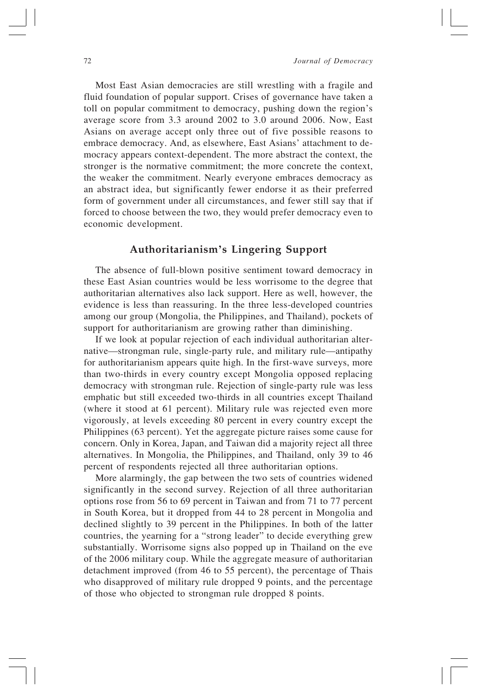Most East Asian democracies are still wrestling with a fragile and fluid foundation of popular support. Crises of governance have taken a toll on popular commitment to democracy, pushing down the region's average score from 3.3 around 2002 to 3.0 around 2006. Now, East Asians on average accept only three out of five possible reasons to embrace democracy. And, as elsewhere, East Asians' attachment to democracy appears context-dependent. The more abstract the context, the stronger is the normative commitment; the more concrete the context, the weaker the commitment. Nearly everyone embraces democracy as an abstract idea, but significantly fewer endorse it as their preferred form of government under all circumstances, and fewer still say that if forced to choose between the two, they would prefer democracy even to economic development.

### **Authoritarianism's Lingering Support**

The absence of full-blown positive sentiment toward democracy in these East Asian countries would be less worrisome to the degree that authoritarian alternatives also lack support. Here as well, however, the evidence is less than reassuring. In the three less-developed countries among our group (Mongolia, the Philippines, and Thailand), pockets of support for authoritarianism are growing rather than diminishing.

If we look at popular rejection of each individual authoritarian alternative—strongman rule, single-party rule, and military rule—antipathy for authoritarianism appears quite high. In the first-wave surveys, more than two-thirds in every country except Mongolia opposed replacing democracy with strongman rule. Rejection of single-party rule was less emphatic but still exceeded two-thirds in all countries except Thailand (where it stood at 61 percent). Military rule was rejected even more vigorously, at levels exceeding 80 percent in every country except the Philippines (63 percent). Yet the aggregate picture raises some cause for concern. Only in Korea, Japan, and Taiwan did a majority reject all three alternatives. In Mongolia, the Philippines, and Thailand, only 39 to 46 percent of respondents rejected all three authoritarian options.

More alarmingly, the gap between the two sets of countries widened significantly in the second survey. Rejection of all three authoritarian options rose from 56 to 69 percent in Taiwan and from 71 to 77 percent in South Korea, but it dropped from 44 to 28 percent in Mongolia and declined slightly to 39 percent in the Philippines. In both of the latter countries, the yearning for a "strong leader" to decide everything grew substantially. Worrisome signs also popped up in Thailand on the eve of the 2006 military coup. While the aggregate measure of authoritarian detachment improved (from 46 to 55 percent), the percentage of Thais who disapproved of military rule dropped 9 points, and the percentage of those who objected to strongman rule dropped 8 points.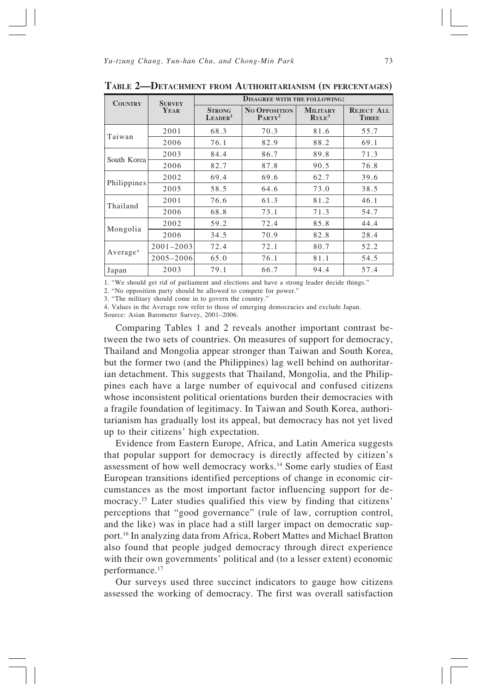| <b>COUNTRY</b>       | <b>SURVEY</b><br>YEAR | <b>DISAGREE WITH THE FOLLOWING:</b> |                                            |                                       |                                   |  |  |
|----------------------|-----------------------|-------------------------------------|--------------------------------------------|---------------------------------------|-----------------------------------|--|--|
|                      |                       | <b>STRONG</b><br>$LEADER1$          | <b>No OPPOSITION</b><br>PARTY <sup>2</sup> | <b>MILITARY</b><br>$R_{\text{ULE}}^3$ | <b>REJECT ALL</b><br><b>THREE</b> |  |  |
| Taiwan               | 2001                  | 68.3                                | 70.3                                       | 81.6                                  | 55.7                              |  |  |
|                      | 2006                  | 76.1                                | 82.9                                       | 88.2                                  | 69.1                              |  |  |
| South Korea          | 2003                  | 84.4                                | 86.7                                       | 89.8                                  | 71.3                              |  |  |
|                      | 2006                  | 82.7                                | 87.8                                       | 90.5                                  | 76.8                              |  |  |
| Philippines          | 2002                  | 69.4                                | 69.6                                       | 62.7                                  | 39.6                              |  |  |
|                      | 2005                  | 58.5                                | 64.6                                       | 73.0                                  | 38.5                              |  |  |
| Thailand             | 2001                  | 76.6                                | 61.3                                       | 81.2                                  | 46.1                              |  |  |
|                      | 2006                  | 68.8                                | 73.1                                       | 71.3                                  | 54.7                              |  |  |
| Mongolia             | 2002                  | 59.2                                | 72.4                                       | 85.8                                  | 44.4                              |  |  |
|                      | 2006                  | 34.5                                | 70.9                                       | 82.8                                  | 28.4                              |  |  |
| Average <sup>4</sup> | $2001 - 2003$         | 72.4                                | 72.1                                       | 80.7                                  | 52.2                              |  |  |
|                      | 2005-2006             | 65.0                                | 76.1                                       | 81.1                                  | 54.5                              |  |  |
| Japan                | 2003                  | 79.1                                | 66.7                                       | 94.4                                  | 57.4                              |  |  |

**TABLE 2—DETACHMENT FROM AUTHORITARIANISM (IN PERCENTAGES)**

1. "We should get rid of parliament and elections and have a strong leader decide things."

2. "No opposition party should be allowed to compete for power."

3. "The military should come in to govern the country."

4. Values in the Average row refer to those of emerging democracies and exclude Japan.

Source: Asian Barometer Survey, 2001–2006.

Comparing Tables 1 and 2 reveals another important contrast between the two sets of countries. On measures of support for democracy, Thailand and Mongolia appear stronger than Taiwan and South Korea, but the former two (and the Philippines) lag well behind on authoritarian detachment. This suggests that Thailand, Mongolia, and the Philippines each have a large number of equivocal and confused citizens whose inconsistent political orientations burden their democracies with a fragile foundation of legitimacy. In Taiwan and South Korea, authoritarianism has gradually lost its appeal, but democracy has not yet lived up to their citizens' high expectation.

Evidence from Eastern Europe, Africa, and Latin America suggests that popular support for democracy is directly affected by citizen's assessment of how well democracy works.<sup>14</sup> Some early studies of East European transitions identified perceptions of change in economic circumstances as the most important factor influencing support for democracy.15 Later studies qualified this view by finding that citizens' perceptions that "good governance" (rule of law, corruption control, and the like) was in place had a still larger impact on democratic support.16 In analyzing data from Africa, Robert Mattes and Michael Bratton also found that people judged democracy through direct experience with their own governments' political and (to a lesser extent) economic performance.<sup>17</sup>

Our surveys used three succinct indicators to gauge how citizens assessed the working of democracy. The first was overall satisfaction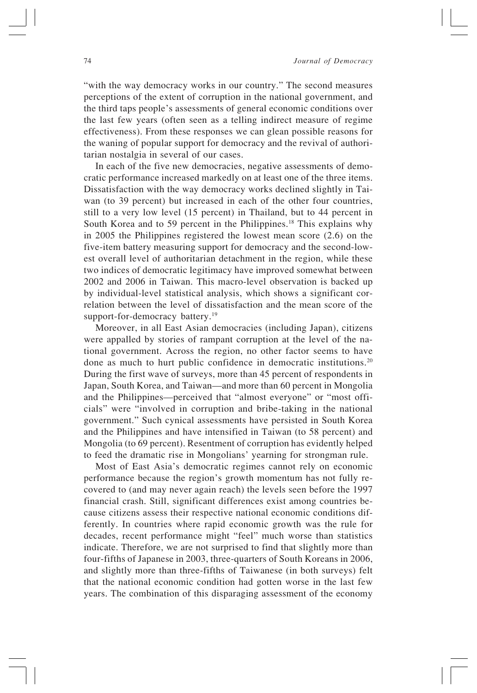"with the way democracy works in our country." The second measures perceptions of the extent of corruption in the national government, and the third taps people's assessments of general economic conditions over the last few years (often seen as a telling indirect measure of regime effectiveness). From these responses we can glean possible reasons for the waning of popular support for democracy and the revival of authoritarian nostalgia in several of our cases.

In each of the five new democracies, negative assessments of democratic performance increased markedly on at least one of the three items. Dissatisfaction with the way democracy works declined slightly in Taiwan (to 39 percent) but increased in each of the other four countries, still to a very low level (15 percent) in Thailand, but to 44 percent in South Korea and to 59 percent in the Philippines.<sup>18</sup> This explains why in 2005 the Philippines registered the lowest mean score (2.6) on the five-item battery measuring support for democracy and the second-lowest overall level of authoritarian detachment in the region, while these two indices of democratic legitimacy have improved somewhat between 2002 and 2006 in Taiwan. This macro-level observation is backed up by individual-level statistical analysis, which shows a significant correlation between the level of dissatisfaction and the mean score of the support-for-democracy battery.<sup>19</sup>

Moreover, in all East Asian democracies (including Japan), citizens were appalled by stories of rampant corruption at the level of the national government. Across the region, no other factor seems to have done as much to hurt public confidence in democratic institutions.<sup>20</sup> During the first wave of surveys, more than 45 percent of respondents in Japan, South Korea, and Taiwan—and more than 60 percent in Mongolia and the Philippines—perceived that "almost everyone" or "most officials" were "involved in corruption and bribe-taking in the national government." Such cynical assessments have persisted in South Korea and the Philippines and have intensified in Taiwan (to 58 percent) and Mongolia (to 69 percent). Resentment of corruption has evidently helped to feed the dramatic rise in Mongolians' yearning for strongman rule.

Most of East Asia's democratic regimes cannot rely on economic performance because the region's growth momentum has not fully recovered to (and may never again reach) the levels seen before the 1997 financial crash. Still, significant differences exist among countries because citizens assess their respective national economic conditions differently. In countries where rapid economic growth was the rule for decades, recent performance might "feel" much worse than statistics indicate. Therefore, we are not surprised to find that slightly more than four-fifths of Japanese in 2003, three-quarters of South Koreans in 2006, and slightly more than three-fifths of Taiwanese (in both surveys) felt that the national economic condition had gotten worse in the last few years. The combination of this disparaging assessment of the economy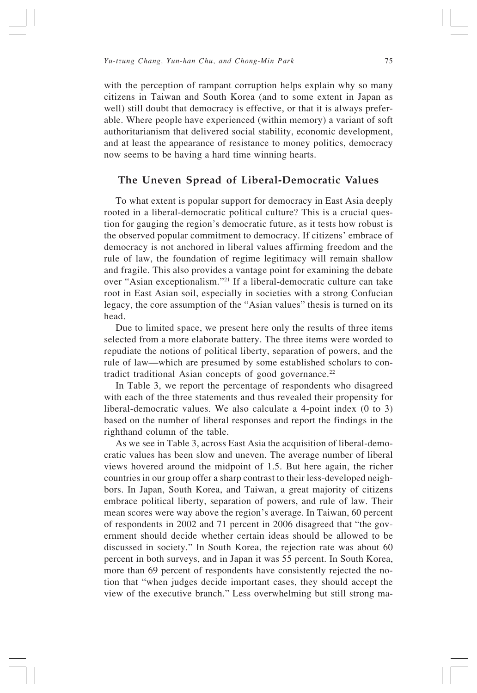with the perception of rampant corruption helps explain why so many citizens in Taiwan and South Korea (and to some extent in Japan as well) still doubt that democracy is effective, or that it is always preferable. Where people have experienced (within memory) a variant of soft authoritarianism that delivered social stability, economic development, and at least the appearance of resistance to money politics, democracy now seems to be having a hard time winning hearts.

#### **The Uneven Spread of Liberal-Democratic Values**

To what extent is popular support for democracy in East Asia deeply rooted in a liberal-democratic political culture? This is a crucial question for gauging the region's democratic future, as it tests how robust is the observed popular commitment to democracy. If citizens' embrace of democracy is not anchored in liberal values affirming freedom and the rule of law, the foundation of regime legitimacy will remain shallow and fragile. This also provides a vantage point for examining the debate over "Asian exceptionalism."21 If a liberal-democratic culture can take root in East Asian soil, especially in societies with a strong Confucian legacy, the core assumption of the "Asian values" thesis is turned on its head.

Due to limited space, we present here only the results of three items selected from a more elaborate battery. The three items were worded to repudiate the notions of political liberty, separation of powers, and the rule of law—which are presumed by some established scholars to contradict traditional Asian concepts of good governance.<sup>22</sup>

In Table 3, we report the percentage of respondents who disagreed with each of the three statements and thus revealed their propensity for liberal-democratic values. We also calculate a 4-point index (0 to 3) based on the number of liberal responses and report the findings in the righthand column of the table.

As we see in Table 3, across East Asia the acquisition of liberal-democratic values has been slow and uneven. The average number of liberal views hovered around the midpoint of 1.5. But here again, the richer countries in our group offer a sharp contrast to their less-developed neighbors. In Japan, South Korea, and Taiwan, a great majority of citizens embrace political liberty, separation of powers, and rule of law. Their mean scores were way above the region's average. In Taiwan, 60 percent of respondents in 2002 and 71 percent in 2006 disagreed that "the government should decide whether certain ideas should be allowed to be discussed in society." In South Korea, the rejection rate was about 60 percent in both surveys, and in Japan it was 55 percent. In South Korea, more than 69 percent of respondents have consistently rejected the notion that "when judges decide important cases, they should accept the view of the executive branch." Less overwhelming but still strong ma-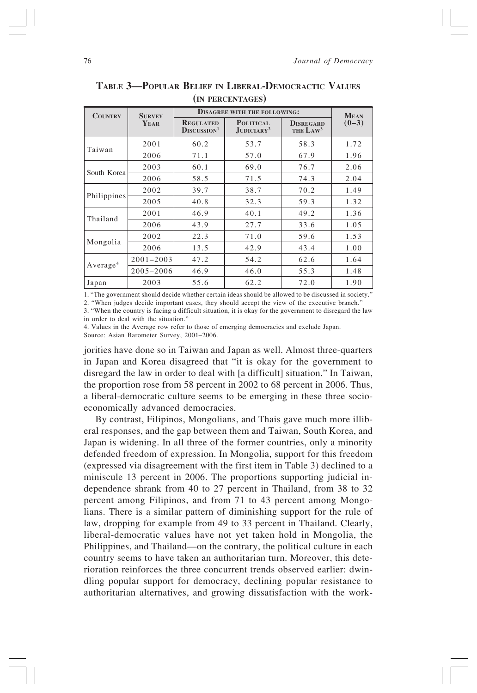| $\mathbf{u}$ , rencent reports |                       |                                             |                                               |                                          |             |
|--------------------------------|-----------------------|---------------------------------------------|-----------------------------------------------|------------------------------------------|-------------|
| <b>COUNTRY</b>                 | <b>SURVEY</b><br>YEAR | <b>DISAGREE WITH THE FOLLOWING:</b>         |                                               |                                          | <b>MEAN</b> |
|                                |                       | <b>REGULATED</b><br>DiscUSSION <sup>1</sup> | <b>POLITICAL</b><br>$J$ UDICIARY <sup>2</sup> | <b>DISREGARD</b><br>THE LAW <sup>3</sup> | $(0-3)$     |
| Taiwan                         | 2001                  | 60.2                                        | 53.7                                          | 58.3                                     | 1.72        |
|                                | 2006                  | 71.1                                        | 57.0                                          | 67.9                                     | 1.96        |
| South Korea                    | 2003                  | 60.1                                        | 69.0                                          | 76.7                                     | 2.06        |
|                                | 2006                  | 58.5                                        | 71.5                                          | 74.3                                     | 2.04        |
| Philippines                    | 2002                  | 39.7                                        | 38.7                                          | 70.2                                     | 1.49        |
|                                | 2005                  | 40.8                                        | 32.3                                          | 59.3                                     | 1.32        |
| Thailand                       | 2001                  | 46.9                                        | 40.1                                          | 49.2                                     | 1.36        |
|                                | 2006                  | 43.9                                        | 27.7                                          | 33.6                                     | 1.05        |
| Mongolia                       | 2002                  | 22.3                                        | 71.0                                          | 59.6                                     | 1.53        |
|                                | 2006                  | 13.5                                        | 42.9                                          | 43.4                                     | 1.00        |
| Average <sup>4</sup>           | $2001 - 2003$         | 47.2                                        | 54.2                                          | 62.6                                     | 1.64        |
|                                | 2005-2006             | 46.9                                        | 46.0                                          | 55.3                                     | 1.48        |
| Japan                          | 2003                  | 55.6                                        | 62.2                                          | 72.0                                     | 1.90        |

**TABLE 3—POPULAR BELIEF IN LIBERAL-DEMOCRACTIC VALUES (IN PERCENTAGES)**

1. "The government should decide whether certain ideas should be allowed to be discussed in society."

2. "When judges decide important cases, they should accept the view of the executive branch." 3. "When the country is facing a difficult situation, it is okay for the government to disregard the law in order to deal with the situation."

4. Values in the Average row refer to those of emerging democracies and exclude Japan. Source: Asian Barometer Survey, 2001–2006.

jorities have done so in Taiwan and Japan as well. Almost three-quarters in Japan and Korea disagreed that "it is okay for the government to disregard the law in order to deal with [a difficult] situation." In Taiwan, the proportion rose from 58 percent in 2002 to 68 percent in 2006. Thus, a liberal-democratic culture seems to be emerging in these three socioeconomically advanced democracies.

By contrast, Filipinos, Mongolians, and Thais gave much more illiberal responses, and the gap between them and Taiwan, South Korea, and Japan is widening. In all three of the former countries, only a minority defended freedom of expression. In Mongolia, support for this freedom (expressed via disagreement with the first item in Table 3) declined to a miniscule 13 percent in 2006. The proportions supporting judicial independence shrank from 40 to 27 percent in Thailand, from 38 to 32 percent among Filipinos, and from 71 to 43 percent among Mongolians. There is a similar pattern of diminishing support for the rule of law, dropping for example from 49 to 33 percent in Thailand. Clearly, liberal-democratic values have not yet taken hold in Mongolia, the Philippines, and Thailand—on the contrary, the political culture in each country seems to have taken an authoritarian turn. Moreover, this deterioration reinforces the three concurrent trends observed earlier: dwindling popular support for democracy, declining popular resistance to authoritarian alternatives, and growing dissatisfaction with the work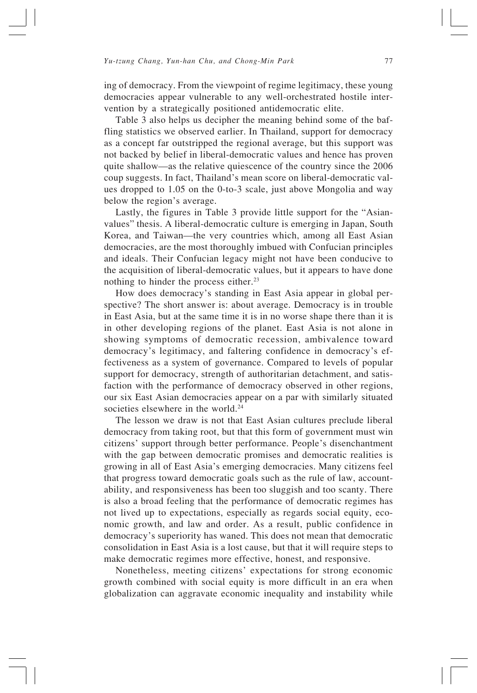ing of democracy. From the viewpoint of regime legitimacy, these young democracies appear vulnerable to any well-orchestrated hostile intervention by a strategically positioned antidemocratic elite.

Table 3 also helps us decipher the meaning behind some of the baffling statistics we observed earlier. In Thailand, support for democracy as a concept far outstripped the regional average, but this support was not backed by belief in liberal-democratic values and hence has proven quite shallow—as the relative quiescence of the country since the 2006 coup suggests. In fact, Thailand's mean score on liberal-democratic values dropped to 1.05 on the 0-to-3 scale, just above Mongolia and way below the region's average.

Lastly, the figures in Table 3 provide little support for the "Asianvalues" thesis. A liberal-democratic culture is emerging in Japan, South Korea, and Taiwan—the very countries which, among all East Asian democracies, are the most thoroughly imbued with Confucian principles and ideals. Their Confucian legacy might not have been conducive to the acquisition of liberal-democratic values, but it appears to have done nothing to hinder the process either.<sup>23</sup>

How does democracy's standing in East Asia appear in global perspective? The short answer is: about average. Democracy is in trouble in East Asia, but at the same time it is in no worse shape there than it is in other developing regions of the planet. East Asia is not alone in showing symptoms of democratic recession, ambivalence toward democracy's legitimacy, and faltering confidence in democracy's effectiveness as a system of governance. Compared to levels of popular support for democracy, strength of authoritarian detachment, and satisfaction with the performance of democracy observed in other regions, our six East Asian democracies appear on a par with similarly situated societies elsewhere in the world.<sup>24</sup>

The lesson we draw is not that East Asian cultures preclude liberal democracy from taking root, but that this form of government must win citizens' support through better performance. People's disenchantment with the gap between democratic promises and democratic realities is growing in all of East Asia's emerging democracies. Many citizens feel that progress toward democratic goals such as the rule of law, accountability, and responsiveness has been too sluggish and too scanty. There is also a broad feeling that the performance of democratic regimes has not lived up to expectations, especially as regards social equity, economic growth, and law and order. As a result, public confidence in democracy's superiority has waned. This does not mean that democratic consolidation in East Asia is a lost cause, but that it will require steps to make democratic regimes more effective, honest, and responsive.

Nonetheless, meeting citizens' expectations for strong economic growth combined with social equity is more difficult in an era when globalization can aggravate economic inequality and instability while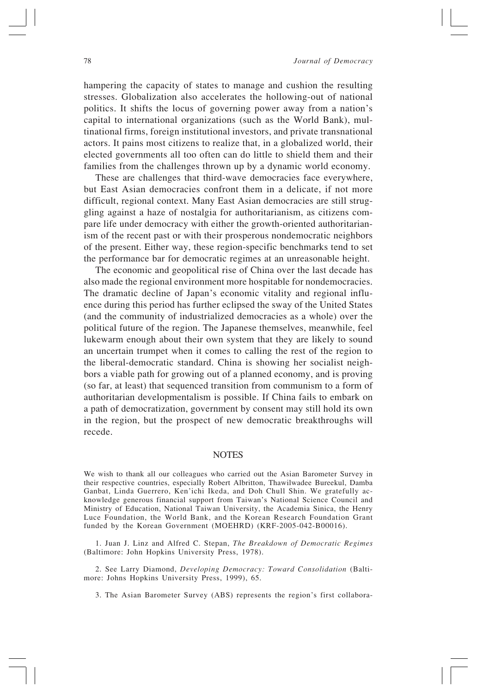hampering the capacity of states to manage and cushion the resulting stresses. Globalization also accelerates the hollowing-out of national politics. It shifts the locus of governing power away from a nation's capital to international organizations (such as the World Bank), multinational firms, foreign institutional investors, and private transnational actors. It pains most citizens to realize that, in a globalized world, their elected governments all too often can do little to shield them and their families from the challenges thrown up by a dynamic world economy.

These are challenges that third-wave democracies face everywhere, but East Asian democracies confront them in a delicate, if not more difficult, regional context. Many East Asian democracies are still struggling against a haze of nostalgia for authoritarianism, as citizens compare life under democracy with either the growth-oriented authoritarianism of the recent past or with their prosperous nondemocratic neighbors of the present. Either way, these region-specific benchmarks tend to set the performance bar for democratic regimes at an unreasonable height.

The economic and geopolitical rise of China over the last decade has also made the regional environment more hospitable for nondemocracies. The dramatic decline of Japan's economic vitality and regional influence during this period has further eclipsed the sway of the United States (and the community of industrialized democracies as a whole) over the political future of the region. The Japanese themselves, meanwhile, feel lukewarm enough about their own system that they are likely to sound an uncertain trumpet when it comes to calling the rest of the region to the liberal-democratic standard. China is showing her socialist neighbors a viable path for growing out of a planned economy, and is proving (so far, at least) that sequenced transition from communism to a form of authoritarian developmentalism is possible. If China fails to embark on a path of democratization, government by consent may still hold its own in the region, but the prospect of new democratic breakthroughs will recede.

#### **NOTES**

We wish to thank all our colleagues who carried out the Asian Barometer Survey in their respective countries, especially Robert Albritton, Thawilwadee Bureekul, Damba Ganbat, Linda Guerrero, Ken'ichi Ikeda, and Doh Chull Shin. We gratefully acknowledge generous financial support from Taiwan's National Science Council and Ministry of Education, National Taiwan University, the Academia Sinica, the Henry Luce Foundation, the World Bank, and the Korean Research Foundation Grant funded by the Korean Government (MOEHRD) (KRF-2005-042-B00016).

1. Juan J. Linz and Alfred C. Stepan, *The Breakdown of Democratic Regimes* (Baltimore: John Hopkins University Press, 1978).

2. See Larry Diamond, *Developing Democracy: Toward Consolidation* (Baltimore: Johns Hopkins University Press, 1999), 65.

3. The Asian Barometer Survey (ABS) represents the region's first collabora-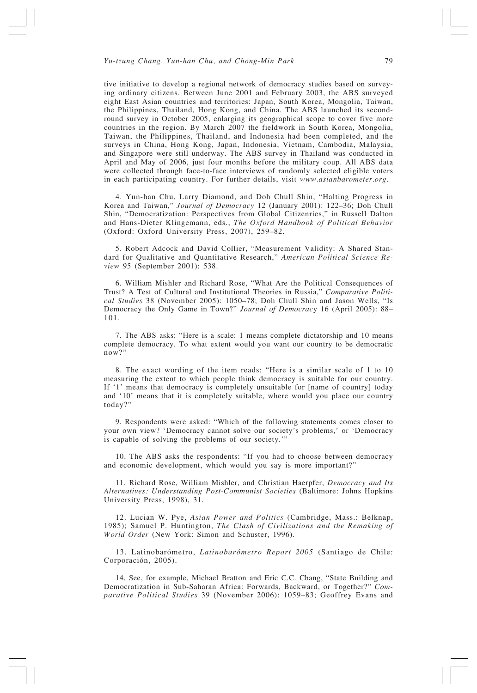tive initiative to develop a regional network of democracy studies based on surveying ordinary citizens. Between June 2001 and February 2003, the ABS surveyed eight East Asian countries and territories: Japan, South Korea, Mongolia, Taiwan, the Philippines, Thailand, Hong Kong, and China. The ABS launched its secondround survey in October 2005, enlarging its geographical scope to cover five more countries in the region. By March 2007 the fieldwork in South Korea, Mongolia, Taiwan, the Philippines, Thailand, and Indonesia had been completed, and the surveys in China, Hong Kong, Japan, Indonesia, Vietnam, Cambodia, Malaysia, and Singapore were still underway. The ABS survey in Thailand was conducted in April and May of 2006, just four months before the military coup. All ABS data were collected through face-to-face interviews of randomly selected eligible voters in each participating country. For further details, visit *www.asianbarometer.org.*

4. Yun-han Chu, Larry Diamond, and Doh Chull Shin, "Halting Progress in Korea and Taiwan," *Journal of Democracy* 12 (January 2001): 122–36; Doh Chull Shin, "Democratization: Perspectives from Global Citizenries," in Russell Dalton and Hans-Dieter Klingemann, eds., *The Oxford Handbook of Political Behavior* (Oxford: Oxford University Press, 2007), 259–82.

5. Robert Adcock and David Collier, "Measurement Validity: A Shared Standard for Qualitative and Quantitative Research," *American Political Science Review* 95 (September 2001): 538.

6. William Mishler and Richard Rose, "What Are the Political Consequences of Trust? A Test of Cultural and Institutional Theories in Russia," *Comparative Political Studies* 38 (November 2005): 1050–78; Doh Chull Shin and Jason Wells, "Is Democracy the Only Game in Town?" *Journal of Democrac*y 16 (April 2005): 88– 101.

7. The ABS asks: "Here is a scale: 1 means complete dictatorship and 10 means complete democracy. To what extent would you want our country to be democratic now?"

8. The exact wording of the item reads: "Here is a similar scale of 1 to 10 measuring the extent to which people think democracy is suitable for our country. If '1' means that democracy is completely unsuitable for [name of country] today and '10' means that it is completely suitable, where would you place our country today?"

9. Respondents were asked: "Which of the following statements comes closer to your own view? 'Democracy cannot solve our society's problems,' or 'Democracy is capable of solving the problems of our society.'"

10. The ABS asks the respondents: "If you had to choose between democracy and economic development, which would you say is more important?"

11. Richard Rose, William Mishler, and Christian Haerpfer, *Democracy and Its Alternatives: Understanding Post-Communist Societies* (Baltimore: Johns Hopkins University Press, 1998), 31.

12. Lucian W. Pye, *Asian Power and Politics* (Cambridge, Mass.: Belknap, 1985); Samuel P. Huntington, *The Clash of Civilizations and the Remaking of World Order* (New York: Simon and Schuster, 1996).

13. Latinobarómetro, *Latinobarómetro Report 2005* (Santiago de Chile: Corporación, 2005).

14. See, for example, Michael Bratton and Eric C.C. Chang, "State Building and Democratization in Sub-Saharan Africa: Forwards, Backward, or Together?" *Comparative Political Studies* 39 (November 2006): 1059–83; Geoffrey Evans and